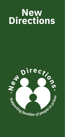# **New Directions**

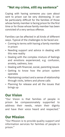#### **"Not my crime, still my sentence"**

Coping with having someone you care about sent to prison can be very distressing. It can be particularly difficult for the families of those whose family member is facing prison for the first time or for those whose family member has been convicted of a very serious offence.

Families can be affected in all kinds of different ways. Typical of the challenges to be faced are:

- Coming to terms with having a family member in prison
- Needing support and advice in dealing with this new reality
- Dealing with the complex mixture of feelings and emotions experienced, e.g. confusion, anxiety, sadness, loss
- Dealing with financial, social, parenting issues
- Getting to know how the prison system operates
- Maintaining contact and a sense of relationship through visits, letters and phone calls
- Planning for release and all the issues that brings up

#### **Our Vision**

"Our Vision is that families of people in prison be compassionately supported to address their needs, retain their dignity and have their voice heard and respected."

#### **Our Mission**

"Our Mission is to provide quality support and information services for families of people in prison."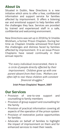### **About Us**

Situated in Dublin, New Directions is a new initiative which aims to offer a free, confidential information and support service for families affected by imprisonment. It offers a listening ear and emotional support to help families with the challenges they face. Services are provided by trained and experienced staff in a safe, confidential and welcoming environment.

New Directions was set up in 2018 by Sr Imelda Wickham, a former Prison Chaplain. During her time as Chaplain Imelda witnessed first-hand the challenges and distress faced by families affected by imprisonment. It is an issue Prison Chaplains have raised continually in their annual reports:

*"For every individual incarcerated, there is a circle of people directly affected by their imprisonment. Children grow up with one parent absent from their lives. Mothers are often left to rear these children with constant financial struggles."*

#### **Irish Prison Chaplains' Report, 2007**

#### **Our Services**

- Provision of one-to-one support and counselling to family members
- Provision of group support and counselling for the family
- Provision of practical information covering all aspects of the operation of the prison system
- Provision of restorative justice opportunities for families
- Advocate on behalf of families to highlight the impact of imprisonment on them and for enhanced services to meet their needs.